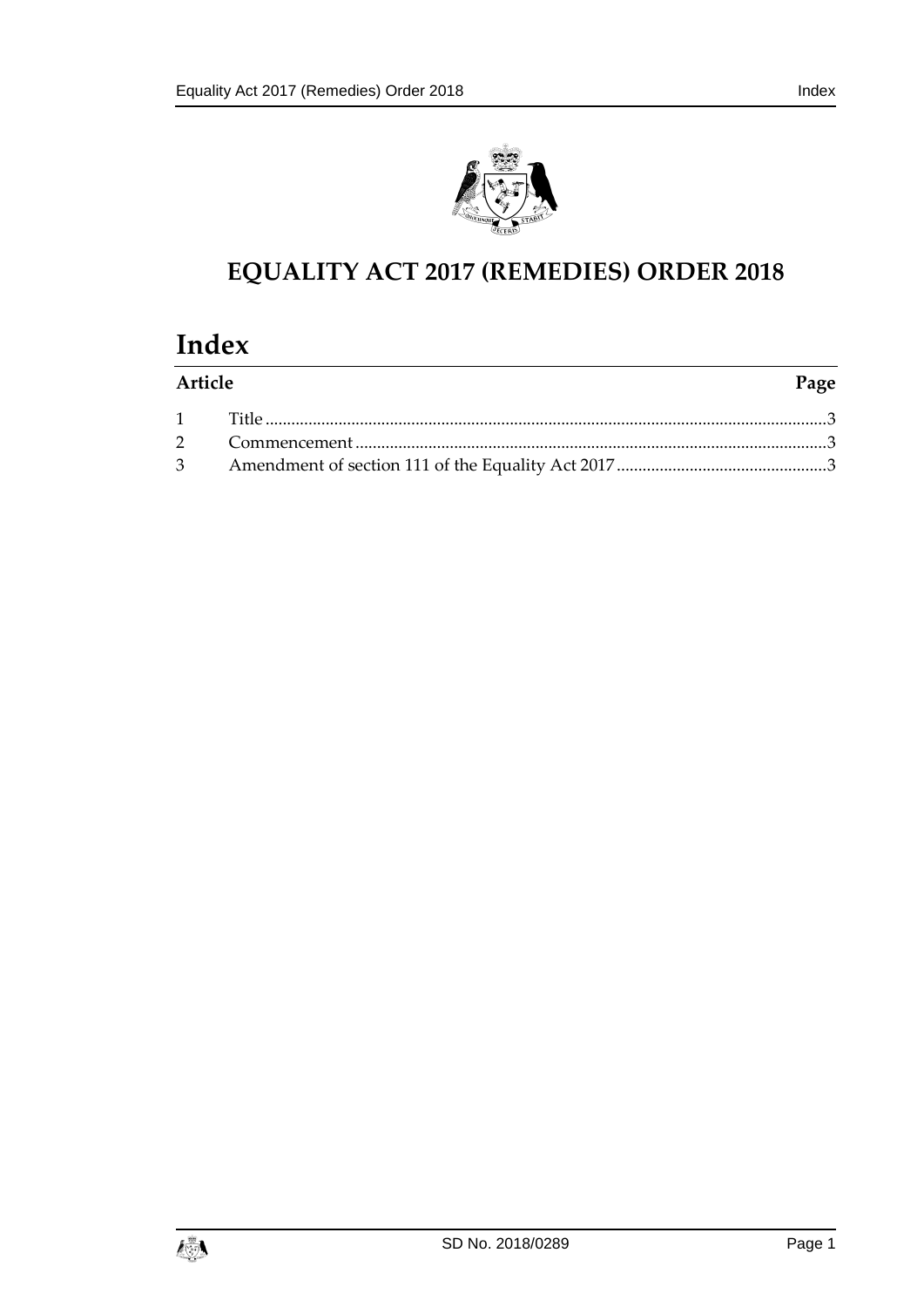

## **EQUALITY ACT 2017 (REMEDIES) ORDER 2018**

# **Index**

| Article |  | Page |
|---------|--|------|
|         |  |      |
|         |  |      |
|         |  |      |

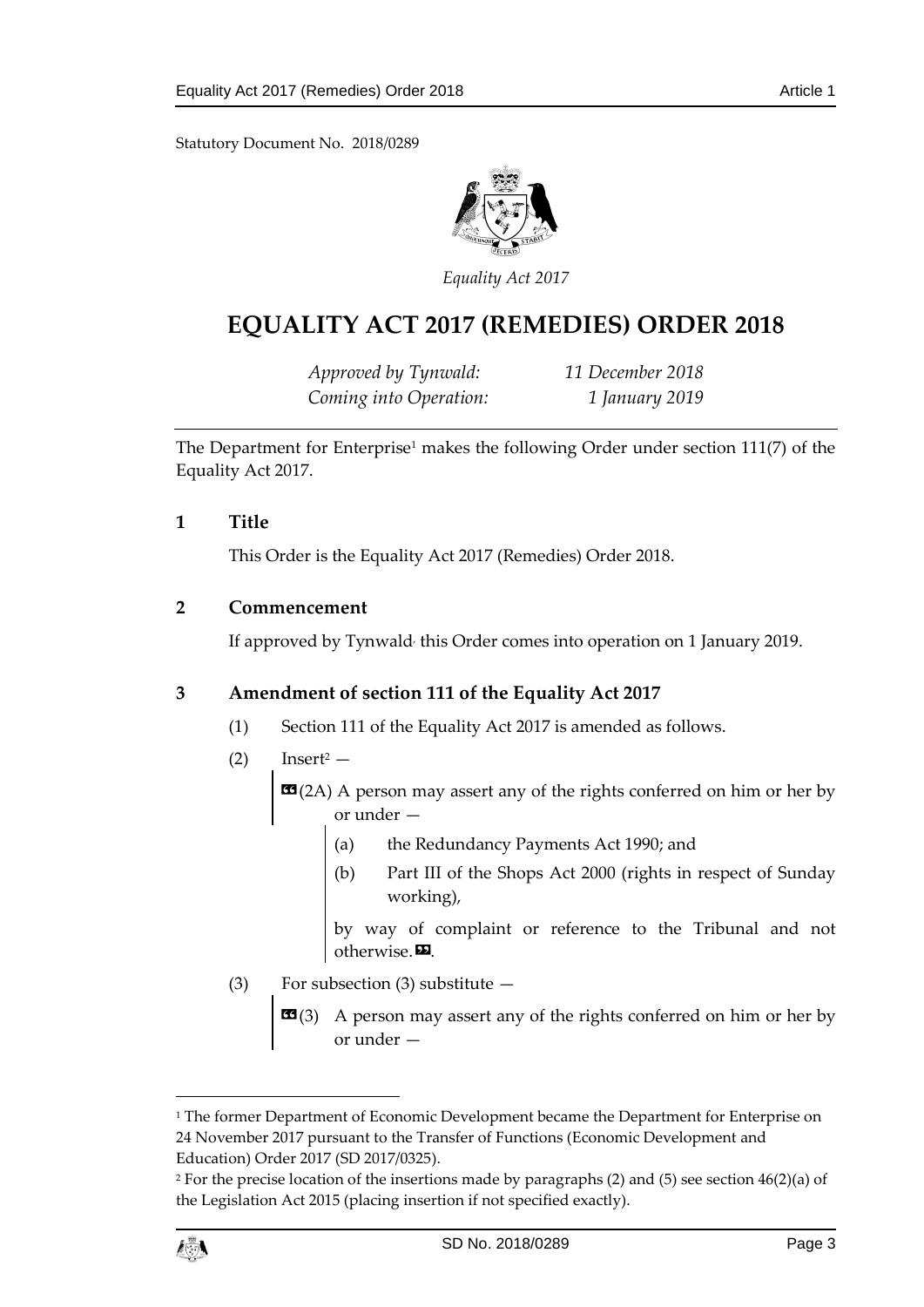Statutory Document No. 2018/0289



*Equality Act 2017*

### **EQUALITY ACT 2017 (REMEDIES) ORDER 2018**

*Approved by Tynwald: 11 December 2018 Coming into Operation: 1 January 2019*

The Department for Enterprise<sup>1</sup> makes the following Order under section 111(7) of the Equality Act 2017.

#### <span id="page-2-0"></span>**1 Title**

This Order is the Equality Act 2017 (Remedies) Order 2018.

#### <span id="page-2-1"></span>**2 Commencement**

If approved by Tynwald<sup>,</sup> this Order comes into operation on 1 January 2019.

#### <span id="page-2-2"></span>**3 Amendment of section 111 of the Equality Act 2017**

- (1) Section 111 of the Equality Act 2017 is amended as follows.
- $(2)$  Insert<sup>2</sup> —

 **A person may assert any of the rights conferred on him or her by** or under —

- (a) the Redundancy Payments Act 1990; and
- (b) Part III of the Shops Act 2000 (rights in respect of Sunday working),

by way of complaint or reference to the Tribunal and not otherwise. $\boldsymbol{\mathsf{E}}$ .

- (3) For subsection (3) substitute  $-$ 
	- **EE**(3) A person may assert any of the rights conferred on him or her by or under —

<sup>2</sup> For the precise location of the insertions made by paragraphs (2) and (5) see section 46(2)(a) of the Legislation Act 2015 (placing insertion if not specified exactly).



1

<sup>&</sup>lt;sup>1</sup> The former Department of Economic Development became the Department for Enterprise on 24 November 2017 pursuant to the Transfer of Functions (Economic Development and Education) Order 2017 (SD 2017/0325).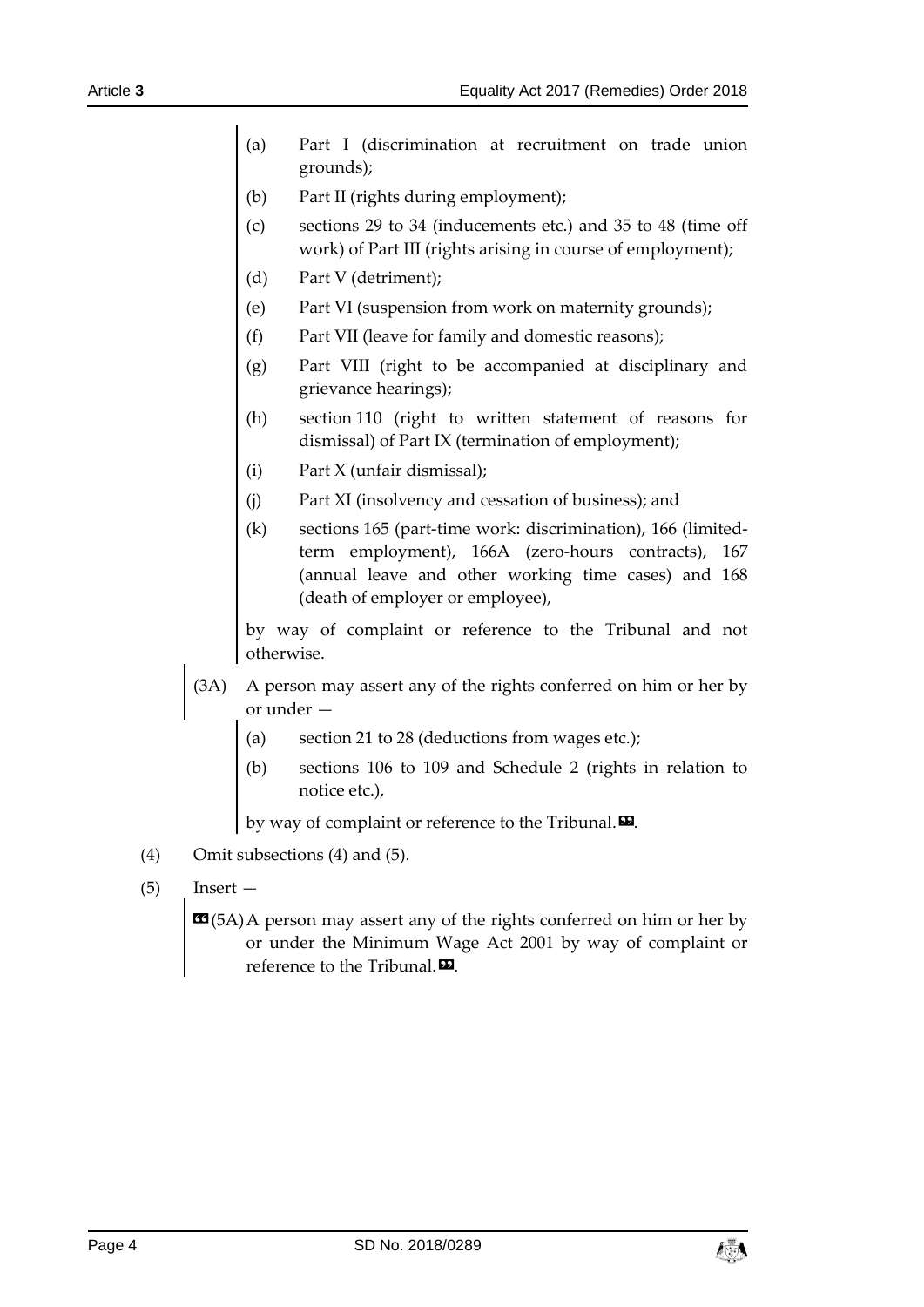- (a) Part I (discrimination at recruitment on trade union grounds);
- (b) Part II (rights during employment);
- (c) sections 29 to 34 (inducements etc.) and 35 to 48 (time off work) of Part III (rights arising in course of employment);
- (d) Part V (detriment);
- (e) Part VI (suspension from work on maternity grounds);
- (f) Part VII (leave for family and domestic reasons);
- (g) Part VIII (right to be accompanied at disciplinary and grievance hearings);
- (h) section 110 (right to written statement of reasons for dismissal) of Part IX (termination of employment);
- (i) Part X (unfair dismissal);
- (j) Part XI (insolvency and cessation of business); and
- (k) sections 165 (part-time work: discrimination), 166 (limitedterm employment), 166A (zero-hours contracts), 167 (annual leave and other working time cases) and 168 (death of employer or employee),

by way of complaint or reference to the Tribunal and not otherwise.

- (3A) A person may assert any of the rights conferred on him or her by or under —
	- (a) section 21 to 28 (deductions from wages etc.);
	- (b) sections 106 to 109 and Schedule 2 (rights in relation to notice etc.),

by way of complaint or reference to the Tribunal. $\boldsymbol{\mathsf{\Xi}}$ .

- (4) Omit subsections (4) and (5).
- $(5)$  Insert —

**EG**(5A)A person may assert any of the rights conferred on him or her by or under the Minimum Wage Act 2001 by way of complaint or reference to the Tribunal. $\boldsymbol{\Xi}$ .

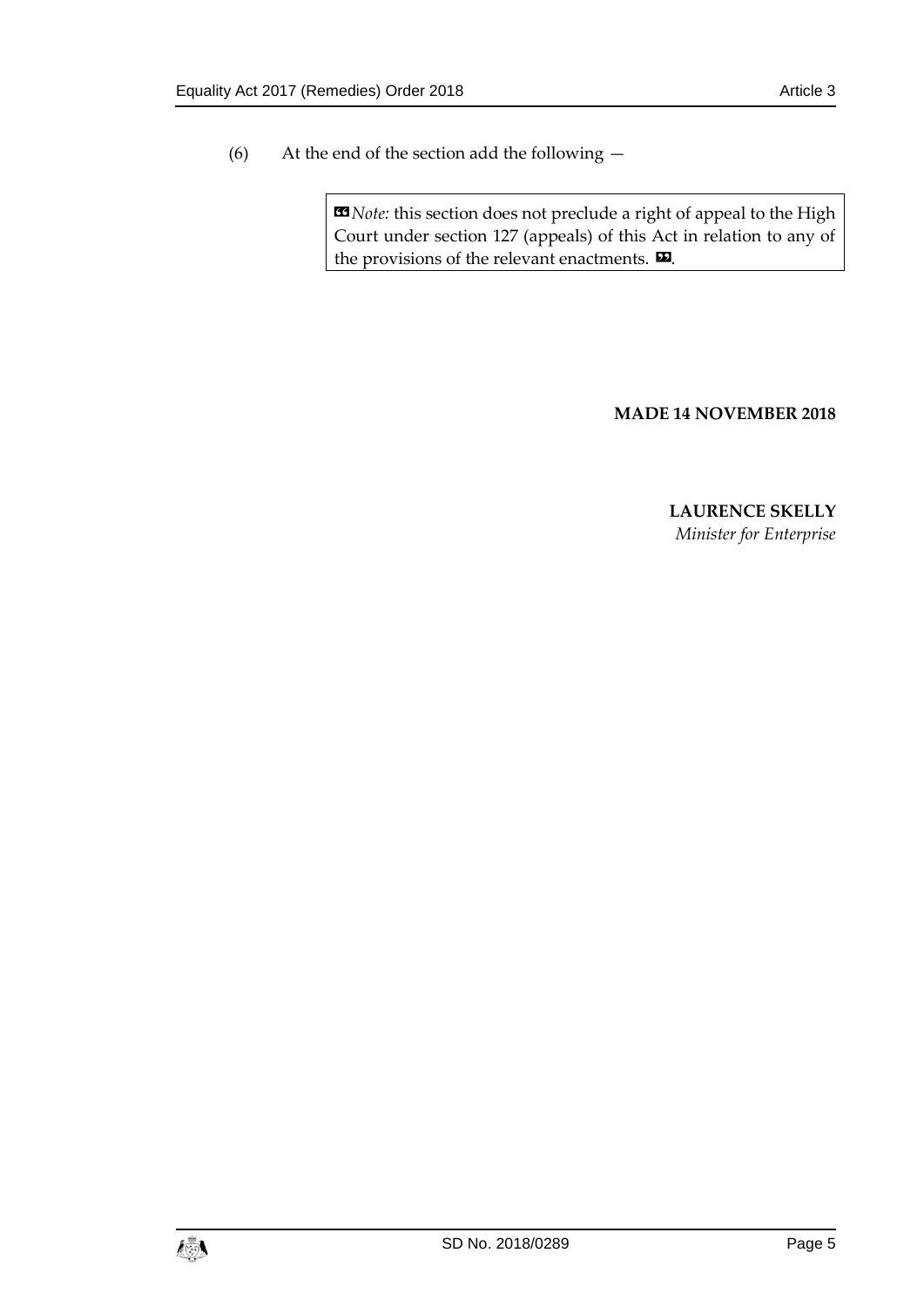(6) At the end of the section add the following —

 $\text{13}$  *Note:* this section does not preclude a right of appeal to the High Court under section 127 (appeals) of this Act in relation to any of the provisions of the relevant enactments.  $\mathbf{D}$ .

#### **MADE 14 NOVEMBER 2018**

**LAURENCE SKELLY** *Minister for Enterprise*